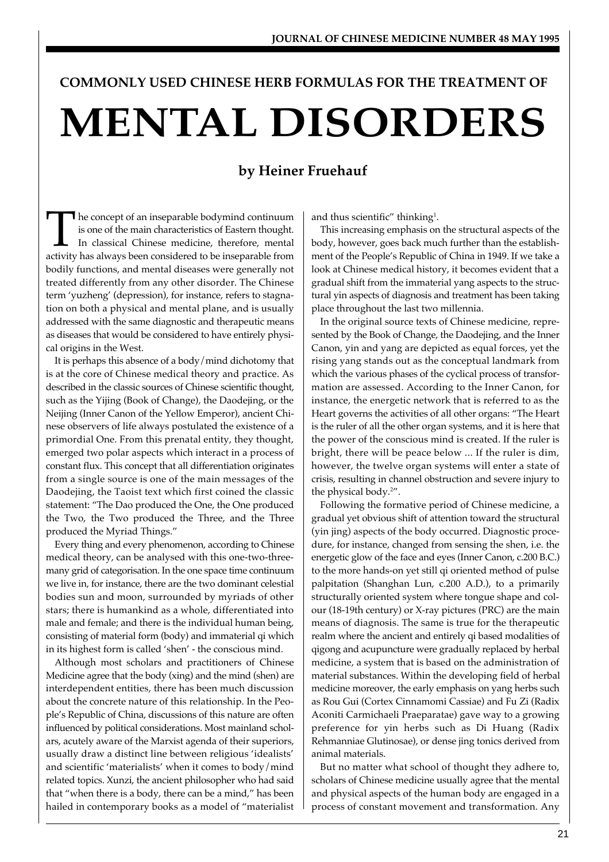# **COMMONLY USED CHINESE HERB FORMULAS FOR THE TREATMENT OF MENTAL DISORDERS**

# **by Heiner Fruehauf**

The concept of an inseparable bodymind continuum<br>is one of the main characteristics of Eastern thought.<br>In classical Chinese medicine, therefore, mental<br>activity has always been considered to be inseparable from **T** he concept of an inseparable bodymind continuum is one of the main characteristics of Eastern thought. In classical Chinese medicine, therefore, mental bodily functions, and mental diseases were generally not treated differently from any other disorder. The Chinese term 'yuzheng' (depression), for instance, refers to stagnation on both a physical and mental plane, and is usually addressed with the same diagnostic and therapeutic means as diseases that would be considered to have entirely physical origins in the West.

It is perhaps this absence of a body/mind dichotomy that is at the core of Chinese medical theory and practice. As described in the classic sources of Chinese scientific thought, such as the Yijing (Book of Change), the Daodejing, or the Neijing (Inner Canon of the Yellow Emperor), ancient Chinese observers of life always postulated the existence of a primordial One. From this prenatal entity, they thought, emerged two polar aspects which interact in a process of constant flux. This concept that all differentiation originates from a single source is one of the main messages of the Daodejing, the Taoist text which first coined the classic statement: "The Dao produced the One, the One produced the Two, the Two produced the Three, and the Three produced the Myriad Things."

Every thing and every phenomenon, according to Chinese medical theory, can be analysed with this one-two-threemany grid of categorisation. In the one space time continuum we live in, for instance, there are the two dominant celestial bodies sun and moon, surrounded by myriads of other stars; there is humankind as a whole, differentiated into male and female; and there is the individual human being, consisting of material form (body) and immaterial qi which in its highest form is called 'shen' - the conscious mind.

Although most scholars and practitioners of Chinese Medicine agree that the body (xing) and the mind (shen) are interdependent entities, there has been much discussion about the concrete nature of this relationship. In the People's Republic of China, discussions of this nature are often influenced by political considerations. Most mainland scholars, acutely aware of the Marxist agenda of their superiors, usually draw a distinct line between religious 'idealists' and scientific 'materialists' when it comes to body/mind related topics. Xunzi, the ancient philosopher who had said that "when there is a body, there can be a mind," has been hailed in contemporary books as a model of "materialist and thus scientific" thinking<sup>1</sup>.

This increasing emphasis on the structural aspects of the body, however, goes back much further than the establishment of the People's Republic of China in 1949. If we take a look at Chinese medical history, it becomes evident that a gradual shift from the immaterial yang aspects to the structural yin aspects of diagnosis and treatment has been taking place throughout the last two millennia.

In the original source texts of Chinese medicine, represented by the Book of Change, the Daodejing, and the Inner Canon, yin and yang are depicted as equal forces, yet the rising yang stands out as the conceptual landmark from which the various phases of the cyclical process of transformation are assessed. According to the Inner Canon, for instance, the energetic network that is referred to as the Heart governs the activities of all other organs: "The Heart is the ruler of all the other organ systems, and it is here that the power of the conscious mind is created. If the ruler is bright, there will be peace below ... If the ruler is dim, however, the twelve organ systems will enter a state of crisis, resulting in channel obstruction and severe injury to the physical body.<sup>2</sup>".

Following the formative period of Chinese medicine, a gradual yet obvious shift of attention toward the structural (yin jing) aspects of the body occurred. Diagnostic procedure, for instance, changed from sensing the shen, i.e. the energetic glow of the face and eyes (Inner Canon, c.200 B.C.) to the more hands-on yet still qi oriented method of pulse palpitation (Shanghan Lun, c.200 A.D.), to a primarily structurally oriented system where tongue shape and colour (18-19th century) or X-ray pictures (PRC) are the main means of diagnosis. The same is true for the therapeutic realm where the ancient and entirely qi based modalities of qigong and acupuncture were gradually replaced by herbal medicine, a system that is based on the administration of material substances. Within the developing field of herbal medicine moreover, the early emphasis on yang herbs such as Rou Gui (Cortex Cinnamomi Cassiae) and Fu Zi (Radix Aconiti Carmichaeli Praeparatae) gave way to a growing preference for yin herbs such as Di Huang (Radix Rehmanniae Glutinosae), or dense jing tonics derived from animal materials.

But no matter what school of thought they adhere to, scholars of Chinese medicine usually agree that the mental and physical aspects of the human body are engaged in a process of constant movement and transformation. Any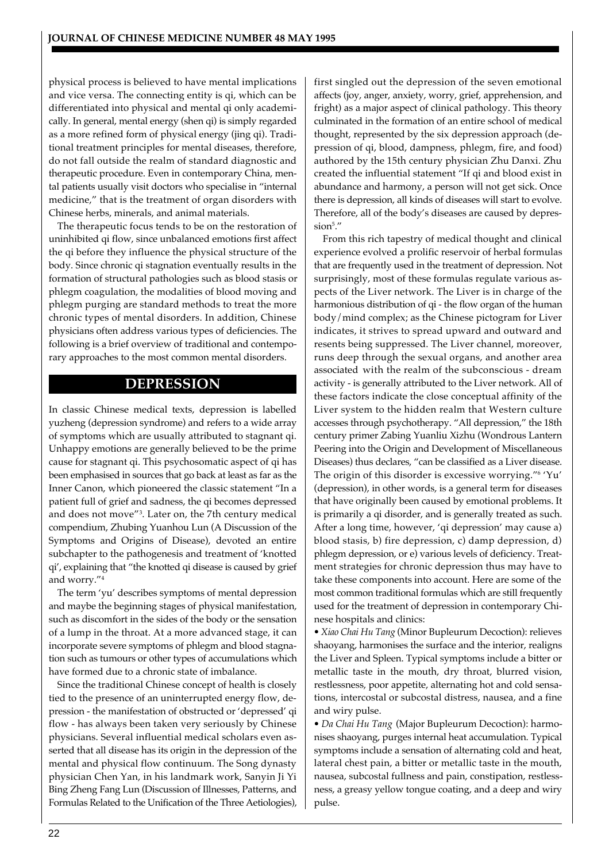physical process is believed to have mental implications and vice versa. The connecting entity is qi, which can be differentiated into physical and mental qi only academically. In general, mental energy (shen qi) is simply regarded as a more refined form of physical energy (jing qi). Traditional treatment principles for mental diseases, therefore, do not fall outside the realm of standard diagnostic and therapeutic procedure. Even in contemporary China, mental patients usually visit doctors who specialise in "internal medicine," that is the treatment of organ disorders with Chinese herbs, minerals, and animal materials.

The therapeutic focus tends to be on the restoration of uninhibited qi flow, since unbalanced emotions first affect the qi before they influence the physical structure of the body. Since chronic qi stagnation eventually results in the formation of structural pathologies such as blood stasis or phlegm coagulation, the modalities of blood moving and phlegm purging are standard methods to treat the more chronic types of mental disorders. In addition, Chinese physicians often address various types of deficiencies. The following is a brief overview of traditional and contemporary approaches to the most common mental disorders.

# **DEPRESSION**

In classic Chinese medical texts, depression is labelled yuzheng (depression syndrome) and refers to a wide array of symptoms which are usually attributed to stagnant qi. Unhappy emotions are generally believed to be the prime cause for stagnant qi. This psychosomatic aspect of qi has been emphasised in sources that go back at least as far as the Inner Canon, which pioneered the classic statement "In a patient full of grief and sadness, the qi becomes depressed and does not move"<sup>3</sup> . Later on, the 7th century medical compendium, Zhubing Yuanhou Lun (A Discussion of the Symptoms and Origins of Disease), devoted an entire subchapter to the pathogenesis and treatment of 'knotted qi', explaining that "the knotted qi disease is caused by grief and worry."<sup>4</sup>

The term 'yu' describes symptoms of mental depression and maybe the beginning stages of physical manifestation, such as discomfort in the sides of the body or the sensation of a lump in the throat. At a more advanced stage, it can incorporate severe symptoms of phlegm and blood stagnation such as tumours or other types of accumulations which have formed due to a chronic state of imbalance.

Since the traditional Chinese concept of health is closely tied to the presence of an uninterrupted energy flow, depression - the manifestation of obstructed or 'depressed' qi flow - has always been taken very seriously by Chinese physicians. Several influential medical scholars even asserted that all disease has its origin in the depression of the mental and physical flow continuum. The Song dynasty physician Chen Yan, in his landmark work, Sanyin Ji Yi Bing Zheng Fang Lun (Discussion of Illnesses, Patterns, and Formulas Related to the Unification of the Three Aetiologies),

first singled out the depression of the seven emotional affects (joy, anger, anxiety, worry, grief, apprehension, and fright) as a major aspect of clinical pathology. This theory culminated in the formation of an entire school of medical thought, represented by the six depression approach (depression of qi, blood, dampness, phlegm, fire, and food) authored by the 15th century physician Zhu Danxi. Zhu created the influential statement "If qi and blood exist in abundance and harmony, a person will not get sick. Once there is depression, all kinds of diseases will start to evolve. Therefore, all of the body's diseases are caused by depression<sup>5</sup> ."

From this rich tapestry of medical thought and clinical experience evolved a prolific reservoir of herbal formulas that are frequently used in the treatment of depression. Not surprisingly, most of these formulas regulate various aspects of the Liver network. The Liver is in charge of the harmonious distribution of qi - the flow organ of the human body/mind complex; as the Chinese pictogram for Liver indicates, it strives to spread upward and outward and resents being suppressed. The Liver channel, moreover, runs deep through the sexual organs, and another area associated with the realm of the subconscious - dream activity - is generally attributed to the Liver network. All of these factors indicate the close conceptual affinity of the Liver system to the hidden realm that Western culture accesses through psychotherapy. "All depression," the 18th century primer Zabing Yuanliu Xizhu (Wondrous Lantern Peering into the Origin and Development of Miscellaneous Diseases) thus declares, "can be classified as a Liver disease. The origin of this disorder is excessive worrying."<sup>6</sup> 'Yu' (depression), in other words, is a general term for diseases that have originally been caused by emotional problems. It is primarily a qi disorder, and is generally treated as such. After a long time, however, 'qi depression' may cause a) blood stasis, b) fire depression, c) damp depression, d) phlegm depression, or e) various levels of deficiency. Treatment strategies for chronic depression thus may have to take these components into account. Here are some of the most common traditional formulas which are still frequently used for the treatment of depression in contemporary Chinese hospitals and clinics:

*• Xiao Chai Hu Tang* (Minor Bupleurum Decoction): relieves shaoyang, harmonises the surface and the interior, realigns the Liver and Spleen. Typical symptoms include a bitter or metallic taste in the mouth, dry throat, blurred vision, restlessness, poor appetite, alternating hot and cold sensations, intercostal or subcostal distress, nausea, and a fine and wiry pulse.

*• Da Chai Hu Tang* (Major Bupleurum Decoction): harmonises shaoyang, purges internal heat accumulation. Typical symptoms include a sensation of alternating cold and heat, lateral chest pain, a bitter or metallic taste in the mouth, nausea, subcostal fullness and pain, constipation, restlessness, a greasy yellow tongue coating, and a deep and wiry pulse.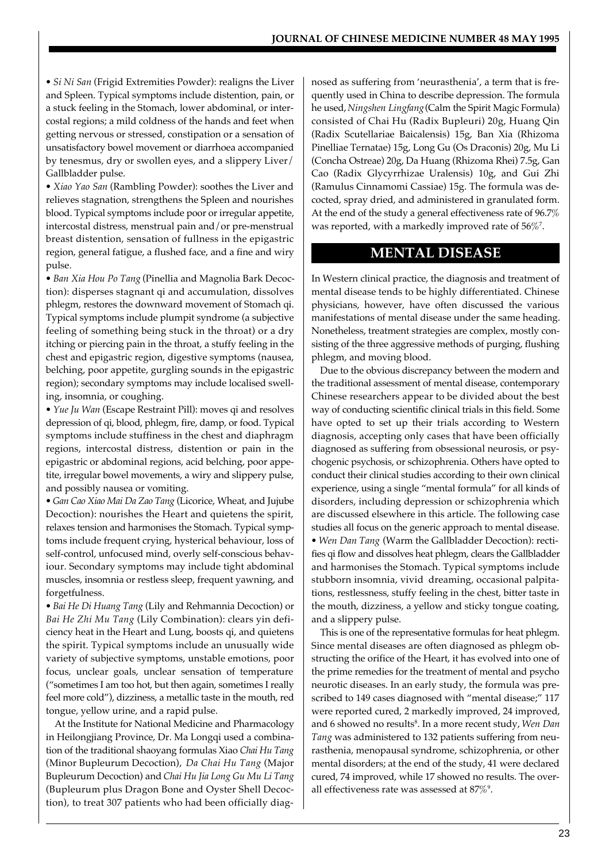*• Si Ni San* (Frigid Extremities Powder): realigns the Liver and Spleen. Typical symptoms include distention, pain, or a stuck feeling in the Stomach, lower abdominal, or intercostal regions; a mild coldness of the hands and feet when getting nervous or stressed, constipation or a sensation of unsatisfactory bowel movement or diarrhoea accompanied by tenesmus, dry or swollen eyes, and a slippery Liver/ Gallbladder pulse.

*• Xiao Yao San* (Rambling Powder): soothes the Liver and relieves stagnation, strengthens the Spleen and nourishes blood. Typical symptoms include poor or irregular appetite, intercostal distress, menstrual pain and/or pre-menstrual breast distention, sensation of fullness in the epigastric region, general fatigue, a flushed face, and a fine and wiry pulse.

*• Ban Xia Hou Po Tang* (Pinellia and Magnolia Bark Decoction): disperses stagnant qi and accumulation, dissolves phlegm, restores the downward movement of Stomach qi. Typical symptoms include plumpit syndrome (a subjective feeling of something being stuck in the throat) or a dry itching or piercing pain in the throat, a stuffy feeling in the chest and epigastric region, digestive symptoms (nausea, belching, poor appetite, gurgling sounds in the epigastric region); secondary symptoms may include localised swelling, insomnia, or coughing.

*• Yue Ju Wan* (Escape Restraint Pill): moves qi and resolves depression of qi, blood, phlegm, fire, damp, or food. Typical symptoms include stuffiness in the chest and diaphragm regions, intercostal distress, distention or pain in the epigastric or abdominal regions, acid belching, poor appetite, irregular bowel movements, a wiry and slippery pulse, and possibly nausea or vomiting.

*• Gan Cao Xiao Mai Da Zao Tang* (Licorice, Wheat, and Jujube Decoction): nourishes the Heart and quietens the spirit, relaxes tension and harmonises the Stomach. Typical symptoms include frequent crying, hysterical behaviour, loss of self-control, unfocused mind, overly self-conscious behaviour. Secondary symptoms may include tight abdominal muscles, insomnia or restless sleep, frequent yawning, and forgetfulness.

*• Bai He Di Huang Tang* (Lily and Rehmannia Decoction) or *Bai He Zhi Mu Tang* (Lily Combination): clears yin deficiency heat in the Heart and Lung, boosts qi, and quietens the spirit. Typical symptoms include an unusually wide variety of subjective symptoms, unstable emotions, poor focus, unclear goals, unclear sensation of temperature ("sometimes I am too hot, but then again, sometimes I really feel more cold"), dizziness, a metallic taste in the mouth, red tongue, yellow urine, and a rapid pulse.

At the Institute for National Medicine and Pharmacology in Heilongjiang Province, Dr. Ma Longqi used a combination of the traditional shaoyang formulas Xiao *Chai Hu Tang* (Minor Bupleurum Decoction), *Da Chai Hu Tang* (Major Bupleurum Decoction) and *Chai Hu Jia Long Gu Mu Li Tang* (Bupleurum plus Dragon Bone and Oyster Shell Decoction), to treat 307 patients who had been officially diagnosed as suffering from 'neurasthenia', a term that is frequently used in China to describe depression. The formula he used, *Ningshen Lingfang* (Calm the Spirit Magic Formula) consisted of Chai Hu (Radix Bupleuri) 20g, Huang Qin (Radix Scutellariae Baicalensis) 15g, Ban Xia (Rhizoma Pinelliae Ternatae) 15g, Long Gu (Os Draconis) 20g, Mu Li (Concha Ostreae) 20g, Da Huang (Rhizoma Rhei) 7.5g, Gan Cao (Radix Glycyrrhizae Uralensis) 10g, and Gui Zhi (Ramulus Cinnamomi Cassiae) 15g. The formula was decocted, spray dried, and administered in granulated form. At the end of the study a general effectiveness rate of 96.7% was reported, with a markedly improved rate of  $56\%$ <sup>7</sup>.

## **MENTAL DISEASE**

In Western clinical practice, the diagnosis and treatment of mental disease tends to be highly differentiated. Chinese physicians, however, have often discussed the various manifestations of mental disease under the same heading. Nonetheless, treatment strategies are complex, mostly consisting of the three aggressive methods of purging, flushing phlegm, and moving blood.

Due to the obvious discrepancy between the modern and the traditional assessment of mental disease, contemporary Chinese researchers appear to be divided about the best way of conducting scientific clinical trials in this field. Some have opted to set up their trials according to Western diagnosis, accepting only cases that have been officially diagnosed as suffering from obsessional neurosis, or psychogenic psychosis, or schizophrenia. Others have opted to conduct their clinical studies according to their own clinical experience, using a single "mental formula" for all kinds of disorders, including depression or schizophrenia which are discussed elsewhere in this article. The following case studies all focus on the generic approach to mental disease. *• Wen Dan Tang* (Warm the Gallbladder Decoction): rectifies qi flow and dissolves heat phlegm, clears the Gallbladder and harmonises the Stomach. Typical symptoms include stubborn insomnia, vivid dreaming, occasional palpitations, restlessness, stuffy feeling in the chest, bitter taste in the mouth, dizziness, a yellow and sticky tongue coating, and a slippery pulse.

This is one of the representative formulas for heat phlegm. Since mental diseases are often diagnosed as phlegm obstructing the orifice of the Heart, it has evolved into one of the prime remedies for the treatment of mental and psycho neurotic diseases. In an early study, the formula was prescribed to 149 cases diagnosed with "mental disease;" 117 were reported cured, 2 markedly improved, 24 improved, and 6 showed no results<sup>8</sup> . In a more recent study, *Wen Dan Tang* was administered to 132 patients suffering from neurasthenia, menopausal syndrome, schizophrenia, or other mental disorders; at the end of the study, 41 were declared cured, 74 improved, while 17 showed no results. The overall effectiveness rate was assessed at  $87\%$ <sup>9</sup>.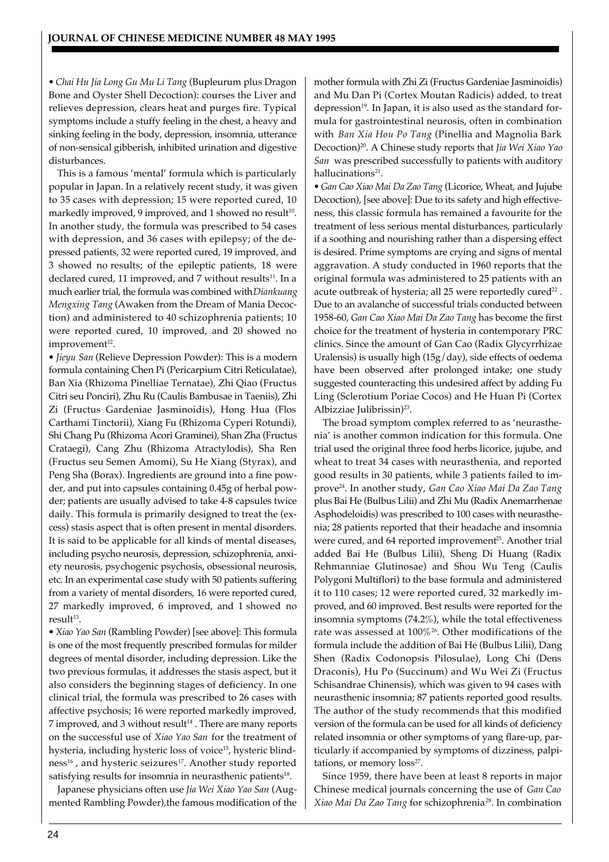*• Chai Hu Jia Long Gu Mu Li Tang* (Bupleurum plus Dragon Bone and Oyster Shell Decoction): courses the Liver and relieves depression, clears heat and purges fire. Typical symptoms include a stuffy feeling in the chest, a heavy and sinking feeling in the body, depression, insomnia, utterance of non-sensical gibberish, inhibited urination and digestive disturbances.

This is a famous 'mental' formula which is particularly popular in Japan. In a relatively recent study, it was given to 35 cases with depression; 15 were reported cured, 10 markedly improved, 9 improved, and 1 showed no result $^{10}$ . In another study, the formula was prescribed to 54 cases with depression, and 36 cases with epilepsy; of the depressed patients, 32 were reported cured, 19 improved, and 3 showed no results; of the epileptic patients, 18 were declared cured, 11 improved, and 7 without results<sup>11</sup>. In a much earlier trial, the formula was combined with *Diankuang Mengxing Tang* (Awaken from the Dream of Mania Decoction) and administered to 40 schizophrenia patients; 10 were reported cured, 10 improved, and 20 showed no  $improvement<sup>12</sup>.$ 

*• Jieyu San* (Relieve Depression Powder): This is a modern formula containing Chen Pi (Pericarpium Citri Reticulatae), Ban Xia (Rhizoma Pinelliae Ternatae), Zhi Qiao (Fructus Citri seu Ponciri), Zhu Ru (Caulis Bambusae in Taeniis), Zhi Zi (Fructus Gardeniae Jasminoidis), Hong Hua (Flos Carthami Tinctorii), Xiang Fu (Rhizoma Cyperi Rotundi), Shi Chang Pu (Rhizoma Acori Graminei), Shan Zha (Fructus Crataegi), Cang Zhu (Rhizoma Atractylodis), Sha Ren (Fructus seu Semen Amomi), Su He Xiang (Styrax), and Peng Sha (Borax). Ingredients are ground into a fine powder, and put into capsules containing 0.45g of herbal powder; patients are usually advised to take 4-8 capsules twice daily. This formula is primarily designed to treat the (excess) stasis aspect that is often present in mental disorders. It is said to be applicable for all kinds of mental diseases, including psycho neurosis, depression, schizophrenia, anxiety neurosis, psychogenic psychosis, obsessional neurosis, etc. In an experimental case study with 50 patients suffering from a variety of mental disorders, 16 were reported cured, 27 markedly improved, 6 improved, and 1 showed no result<sup>13</sup>.

*• Xiao Yao San* (Rambling Powder) [see above]: This formula is one of the most frequently prescribed formulas for milder degrees of mental disorder, including depression. Like the two previous formulas, it addresses the stasis aspect, but it also considers the beginning stages of deficiency. In one clinical trial, the formula was prescribed to 26 cases with affective psychosis; 16 were reported markedly improved,  $7$  improved, and  $3$  without result<sup>14</sup>. There are many reports on the successful use of *Xiao Yao San* for the treatment of hysteria, including hysteric loss of voice<sup>15</sup>, hysteric blindness<sup>16</sup>, and hysteric seizures<sup>17</sup>. Another study reported satisfying results for insomnia in neurasthenic patients $^{18}$ .

Japanese physicians often use *Jia Wei Xiao Yao San* (Augmented Rambling Powder), the famous modification of the mother formula with Zhi Zi (Fructus Gardeniae Jasminoidis) and Mu Dan Pi (Cortex Moutan Radicis) added, to treat depression<sup>19</sup>. In Japan, it is also used as the standard formula for gastrointestinal neurosis, often in combination with *Ban Xia Hou Po Tang* (Pinellia and Magnolia Bark Decoction)<sup>20</sup>. A Chinese study reports that *Jia Wei Xiao Yao San* was prescribed successfully to patients with auditory hallucinations<sup>21</sup>.

*• Gan Cao Xiao Mai Da Zao Tang* (Licorice, Wheat, and Jujube Decoction), [see above]: Due to its safety and high effectiveness, this classic formula has remained a favourite for the treatment of less serious mental disturbances, particularly if a soothing and nourishing rather than a dispersing effect is desired. Prime symptoms are crying and signs of mental aggravation. A study conducted in 1960 reports that the original formula was administered to 25 patients with an acute outbreak of hysteria; all 25 were reportedly cured $^{22}$  . Due to an avalanche of successful trials conducted between 1958-60, *Gan Cao Xiao Mai Da Zao Tang* has become the first choice for the treatment of hysteria in contemporary PRC clinics. Since the amount of Gan Cao (Radix Glycyrrhizae Uralensis) is usually high (15g/day), side effects of oedema have been observed after prolonged intake; one study suggested counteracting this undesired affect by adding Fu Ling (Sclerotium Poriae Cocos) and He Huan Pi (Cortex Albizziae Julibrissin)<sup>23</sup>.

The broad symptom complex referred to as 'neurasthenia' is another common indication for this formula. One trial used the original three food herbs licorice, jujube, and wheat to treat 34 cases with neurasthenia, and reported good results in 30 patients, while 3 patients failed to improve<sup>24</sup>. In another study, *Gan Cao Xiao Mai Da Zao Tang* plus Bai He (Bulbus Lilii) and Zhi Mu (Radix Anemarrhenae Asphodeloidis) was prescribed to 100 cases with neurasthenia; 28 patients reported that their headache and insomnia were cured, and 64 reported improvement<sup>25</sup>. Another trial added Bai He (Bulbus Lilii), Sheng Di Huang (Radix Rehmanniae Glutinosae) and Shou Wu Teng (Caulis Polygoni Multiflori) to the base formula and administered it to 110 cases; 12 were reported cured, 32 markedly improved, and 60 improved. Best results were reported for the insomnia symptoms (74.2%), while the total effectiveness rate was assessed at 100%<sup>26</sup>. Other modifications of the formula include the addition of Bai He (Bulbus Lilii), Dang Shen (Radix Codonopsis Pilosulae), Long Chi (Dens Draconis), Hu Po (Succinum) and Wu Wei Zi (Fructus Schisandrae Chinensis), which was given to 94 cases with neurasthenic insomnia; 87 patients reported good results. The author of the study recommends that this modified version of the formula can be used for all kinds of deficiency related insomnia or other symptoms of yang flare-up, particularly if accompanied by symptoms of dizziness, palpitations, or memory loss<sup>27</sup>.

Since 1959, there have been at least 8 reports in major Chinese medical journals concerning the use of *Gan Cao Xiao Mai Da Zao Tang* for schizophrenia<sup>28</sup>. In combination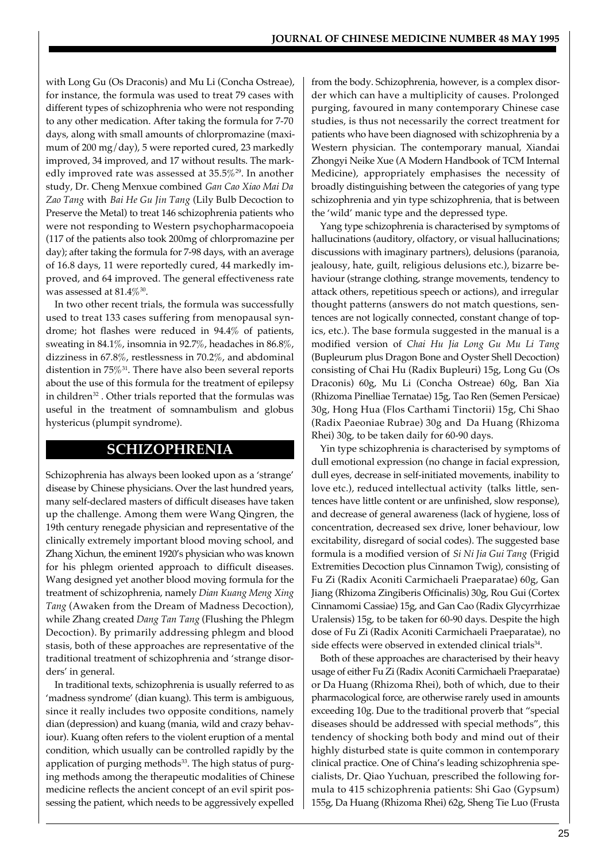with Long Gu (Os Draconis) and Mu Li (Concha Ostreae), for instance, the formula was used to treat 79 cases with different types of schizophrenia who were not responding to any other medication. After taking the formula for 7-70 days, along with small amounts of chlorpromazine (maximum of 200 mg/day), 5 were reported cured, 23 markedly improved, 34 improved, and 17 without results. The markedly improved rate was assessed at 35.5%<sup>29</sup>. In another study, Dr. Cheng Menxue combined *Gan Cao Xiao Mai Da Zao Tang* with *Bai He Gu Jin Tang* (Lily Bulb Decoction to Preserve the Metal) to treat 146 schizophrenia patients who were not responding to Western psychopharmacopoeia (117 of the patients also took 200mg of chlorpromazine per day); after taking the formula for 7-98 days, with an average of 16.8 days, 11 were reportedly cured, 44 markedly improved, and 64 improved. The general effectiveness rate was assessed at  $81.4\%$ <sup>30</sup>.

In two other recent trials, the formula was successfully used to treat 133 cases suffering from menopausal syndrome; hot flashes were reduced in 94.4% of patients, sweating in 84.1%, insomnia in 92.7%, headaches in 86.8%, dizziness in 67.8%, restlessness in 70.2%, and abdominal distention in  $75\%$ <sup>31</sup>. There have also been several reports about the use of this formula for the treatment of epilepsy in children<sup>32</sup>. Other trials reported that the formulas was useful in the treatment of somnambulism and globus hystericus (plumpit syndrome).

## **SCHIZOPHRENIA**

Schizophrenia has always been looked upon as a 'strange' disease by Chinese physicians. Over the last hundred years, many self-declared masters of difficult diseases have taken up the challenge. Among them were Wang Qingren, the 19th century renegade physician and representative of the clinically extremely important blood moving school, and Zhang Xichun, the eminent 1920's physician who was known for his phlegm oriented approach to difficult diseases. Wang designed yet another blood moving formula for the treatment of schizophrenia, namely *Dian Kuang Meng Xing Tang* (Awaken from the Dream of Madness Decoction), while Zhang created *Dang Tan Tang* (Flushing the Phlegm Decoction). By primarily addressing phlegm and blood stasis, both of these approaches are representative of the traditional treatment of schizophrenia and 'strange disorders' in general.

In traditional texts, schizophrenia is usually referred to as 'madness syndrome' (dian kuang). This term is ambiguous, since it really includes two opposite conditions, namely dian (depression) and kuang (mania, wild and crazy behaviour). Kuang often refers to the violent eruption of a mental condition, which usually can be controlled rapidly by the application of purging methods<sup>33</sup>. The high status of purging methods among the therapeutic modalities of Chinese medicine reflects the ancient concept of an evil spirit possessing the patient, which needs to be aggressively expelled

from the body. Schizophrenia, however, is a complex disorder which can have a multiplicity of causes. Prolonged purging, favoured in many contemporary Chinese case studies, is thus not necessarily the correct treatment for patients who have been diagnosed with schizophrenia by a Western physician. The contemporary manual, Xiandai Zhongyi Neike Xue (A Modern Handbook of TCM Internal Medicine), appropriately emphasises the necessity of broadly distinguishing between the categories of yang type schizophrenia and yin type schizophrenia, that is between the 'wild' manic type and the depressed type.

Yang type schizophrenia is characterised by symptoms of hallucinations (auditory, olfactory, or visual hallucinations; discussions with imaginary partners), delusions (paranoia, jealousy, hate, guilt, religious delusions etc.), bizarre behaviour (strange clothing, strange movements, tendency to attack others, repetitious speech or actions), and irregular thought patterns (answers do not match questions, sentences are not logically connected, constant change of topics, etc.). The base formula suggested in the manual is a modified version of *Chai Hu Jia Long Gu Mu Li Tang* (Bupleurum plus Dragon Bone and Oyster Shell Decoction) consisting of Chai Hu (Radix Bupleuri) 15g, Long Gu (Os Draconis) 60g, Mu Li (Concha Ostreae) 60g, Ban Xia (Rhizoma Pinelliae Ternatae) 15g, Tao Ren (Semen Persicae) 30g, Hong Hua (Flos Carthami Tinctorii) 15g, Chi Shao (Radix Paeoniae Rubrae) 30g and Da Huang (Rhizoma Rhei) 30g, to be taken daily for 60-90 days.

Yin type schizophrenia is characterised by symptoms of dull emotional expression (no change in facial expression, dull eyes, decrease in self-initiated movements, inability to love etc.), reduced intellectual activity (talks little, sentences have little content or are unfinished, slow response), and decrease of general awareness (lack of hygiene, loss of concentration, decreased sex drive, loner behaviour, low excitability, disregard of social codes). The suggested base formula is a modified version of *Si Ni Jia Gui Tang* (Frigid Extremities Decoction plus Cinnamon Twig), consisting of Fu Zi (Radix Aconiti Carmichaeli Praeparatae) 60g, Gan Jiang (Rhizoma Zingiberis Officinalis) 30g, Rou Gui (Cortex Cinnamomi Cassiae) 15g, and Gan Cao (Radix Glycyrrhizae Uralensis) 15g, to be taken for 60-90 days. Despite the high dose of Fu Zi (Radix Aconiti Carmichaeli Praeparatae), no  $side$  effects were observed in extended clinical trials $34$ .

Both of these approaches are characterised by their heavy usage of either Fu Zi (Radix Aconiti Carmichaeli Praeparatae) or Da Huang (Rhizoma Rhei), both of which, due to their pharmacological force, are otherwise rarely used in amounts exceeding 10g. Due to the traditional proverb that "special diseases should be addressed with special methods", this tendency of shocking both body and mind out of their highly disturbed state is quite common in contemporary clinical practice. One of China's leading schizophrenia specialists, Dr. Qiao Yuchuan, prescribed the following formula to 415 schizophrenia patients: Shi Gao (Gypsum) 155g, Da Huang (Rhizoma Rhei) 62g, Sheng Tie Luo (Frusta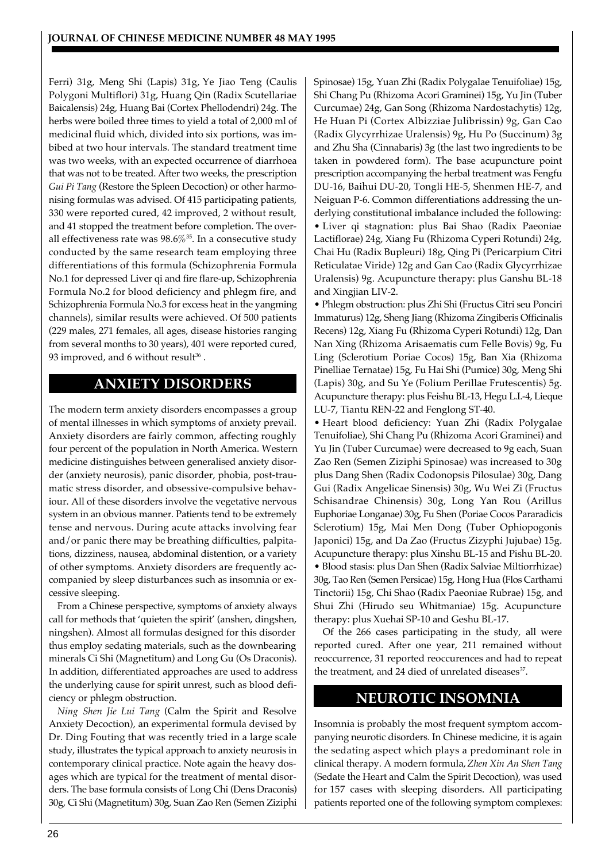Ferri) 31g, Meng Shi (Lapis) 31g, Ye Jiao Teng (Caulis Polygoni Multiflori) 31g, Huang Qin (Radix Scutellariae Baicalensis) 24g, Huang Bai (Cortex Phellodendri) 24g. The herbs were boiled three times to yield a total of 2,000 ml of medicinal fluid which, divided into six portions, was imbibed at two hour intervals. The standard treatment time was two weeks, with an expected occurrence of diarrhoea that was not to be treated. After two weeks, the prescription *Gui Pi Tang* (Restore the Spleen Decoction) or other harmonising formulas was advised. Of 415 participating patients, 330 were reported cured, 42 improved, 2 without result, and 41 stopped the treatment before completion. The overall effectiveness rate was  $98.6\%$ <sup>35</sup>. In a consecutive study conducted by the same research team employing three differentiations of this formula (Schizophrenia Formula No.1 for depressed Liver qi and fire flare-up, Schizophrenia Formula No.2 for blood deficiency and phlegm fire, and Schizophrenia Formula No.3 for excess heat in the yangming channels), similar results were achieved. Of 500 patients (229 males, 271 females, all ages, disease histories ranging from several months to 30 years), 401 were reported cured, 93 improved, and 6 without result $^{\rm 36}$  .

# **ANXIETY DISORDERS**

The modern term anxiety disorders encompasses a group of mental illnesses in which symptoms of anxiety prevail. Anxiety disorders are fairly common, affecting roughly four percent of the population in North America. Western medicine distinguishes between generalised anxiety disorder (anxiety neurosis), panic disorder, phobia, post-traumatic stress disorder, and obsessive-compulsive behaviour. All of these disorders involve the vegetative nervous system in an obvious manner. Patients tend to be extremely tense and nervous. During acute attacks involving fear and/or panic there may be breathing difficulties, palpitations, dizziness, nausea, abdominal distention, or a variety of other symptoms. Anxiety disorders are frequently accompanied by sleep disturbances such as insomnia or excessive sleeping.

From a Chinese perspective, symptoms of anxiety always call for methods that 'quieten the spirit' (anshen, dingshen, ningshen). Almost all formulas designed for this disorder thus employ sedating materials, such as the downbearing minerals Ci Shi (Magnetitum) and Long Gu (Os Draconis). In addition, differentiated approaches are used to address the underlying cause for spirit unrest, such as blood deficiency or phlegm obstruction.

*Ning Shen Jie Lui Tang* (Calm the Spirit and Resolve Anxiety Decoction), an experimental formula devised by Dr. Ding Fouting that was recently tried in a large scale study, illustrates the typical approach to anxiety neurosis in contemporary clinical practice. Note again the heavy dosages which are typical for the treatment of mental disorders. The base formula consists of Long Chi (Dens Draconis) 30g, Ci Shi (Magnetitum) 30g, Suan Zao Ren (Semen Ziziphi

Spinosae) 15g, Yuan Zhi (Radix Polygalae Tenuifoliae) 15g, Shi Chang Pu (Rhizoma Acori Graminei) 15g, Yu Jin (Tuber Curcumae) 24g, Gan Song (Rhizoma Nardostachytis) 12g, He Huan Pi (Cortex Albizziae Julibrissin) 9g, Gan Cao (Radix Glycyrrhizae Uralensis) 9g, Hu Po (Succinum) 3g and Zhu Sha (Cinnabaris) 3g (the last two ingredients to be taken in powdered form). The base acupuncture point prescription accompanying the herbal treatment was Fengfu DU-16, Baihui DU-20, Tongli HE-5, Shenmen HE-7, and Neiguan P-6. Common differentiations addressing the underlying constitutional imbalance included the following: • Liver qi stagnation: plus Bai Shao (Radix Paeoniae Lactiflorae) 24g, Xiang Fu (Rhizoma Cyperi Rotundi) 24g, Chai Hu (Radix Bupleuri) 18g, Qing Pi (Pericarpium Citri Reticulatae Viride) 12g and Gan Cao (Radix Glycyrrhizae Uralensis) 9g. Acupuncture therapy: plus Ganshu BL-18 and Xingjian LIV-2.

• Phlegm obstruction: plus Zhi Shi (Fructus Citri seu Ponciri Immaturus) 12g, Sheng Jiang (Rhizoma Zingiberis Officinalis Recens) 12g, Xiang Fu (Rhizoma Cyperi Rotundi) 12g, Dan Nan Xing (Rhizoma Arisaematis cum Felle Bovis) 9g, Fu Ling (Sclerotium Poriae Cocos) 15g, Ban Xia (Rhizoma Pinelliae Ternatae) 15g, Fu Hai Shi (Pumice) 30g, Meng Shi (Lapis) 30g, and Su Ye (Folium Perillae Frutescentis) 5g. Acupuncture therapy: plus Feishu BL-13, Hegu L.I.-4, Lieque LU-7, Tiantu REN-22 and Fenglong ST-40.

• Heart blood deficiency: Yuan Zhi (Radix Polygalae Tenuifoliae), Shi Chang Pu (Rhizoma Acori Graminei) and Yu Jin (Tuber Curcumae) were decreased to 9g each, Suan Zao Ren (Semen Ziziphi Spinosae) was increased to 30g plus Dang Shen (Radix Codonopsis Pilosulae) 30g, Dang Gui (Radix Angelicae Sinensis) 30g, Wu Wei Zi (Fructus Schisandrae Chinensis) 30g, Long Yan Rou (Arillus Euphoriae Longanae) 30g, Fu Shen (Poriae Cocos Pararadicis Sclerotium) 15g, Mai Men Dong (Tuber Ophiopogonis Japonici) 15g, and Da Zao (Fructus Zizyphi Jujubae) 15g. Acupuncture therapy: plus Xinshu BL-15 and Pishu BL-20. • Blood stasis: plus Dan Shen (Radix Salviae Miltiorrhizae) 30g, Tao Ren (Semen Persicae) 15g, Hong Hua (Flos Carthami Tinctorii) 15g, Chi Shao (Radix Paeoniae Rubrae) 15g, and Shui Zhi (Hirudo seu Whitmaniae) 15g. Acupuncture therapy: plus Xuehai SP-10 and Geshu BL-17.

Of the 266 cases participating in the study, all were reported cured. After one year, 211 remained without reoccurrence, 31 reported reoccurences and had to repeat the treatment, and 24 died of unrelated diseases<sup>37</sup>.

# **NEUROTIC INSOMNIA**

Insomnia is probably the most frequent symptom accompanying neurotic disorders. In Chinese medicine, it is again the sedating aspect which plays a predominant role in clinical therapy. A modern formula, *Zhen Xin An Shen Tang* (Sedate the Heart and Calm the Spirit Decoction), was used for 157 cases with sleeping disorders. All participating patients reported one of the following symptom complexes: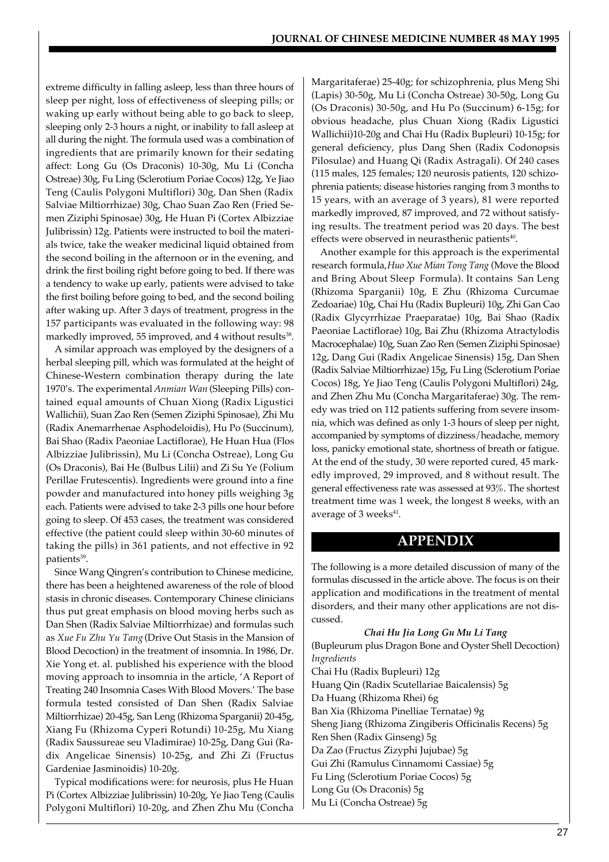extreme difficulty in falling asleep, less than three hours of sleep per night, loss of effectiveness of sleeping pills; or waking up early without being able to go back to sleep, sleeping only 2-3 hours a night, or inability to fall asleep at all during the night. The formula used was a combination of ingredients that are primarily known for their sedating affect: Long Gu (Os Draconis) 10-30g, Mu Li (Concha Ostreae) 30g, Fu Ling (Sclerotium Poriae Cocos) 12g, Ye Jiao Teng (Caulis Polygoni Multiflori) 30g, Dan Shen (Radix Salviae Miltiorrhizae) 30g, Chao Suan Zao Ren (Fried Semen Ziziphi Spinosae) 30g, He Huan Pi (Cortex Albizziae Julibrissin) 12g. Patients were instructed to boil the materials twice, take the weaker medicinal liquid obtained from the second boiling in the afternoon or in the evening, and drink the first boiling right before going to bed. If there was a tendency to wake up early, patients were advised to take the first boiling before going to bed, and the second boiling after waking up. After 3 days of treatment, progress in the 157 participants was evaluated in the following way: 98 markedly improved, 55 improved, and 4 without results $^{38}$ .

A similar approach was employed by the designers of a herbal sleeping pill, which was formulated at the height of Chinese-Western combination therapy during the late 1970's. The experimental *Anmian Wan* (Sleeping Pills) contained equal amounts of Chuan Xiong (Radix Ligustici Wallichii), Suan Zao Ren (Semen Ziziphi Spinosae), Zhi Mu (Radix Anemarrhenae Asphodeloidis), Hu Po (Succinum), Bai Shao (Radix Paeoniae Lactiflorae), He Huan Hua (Flos Albizziae Julibrissin), Mu Li (Concha Ostreae), Long Gu (Os Draconis), Bai He (Bulbus Lilii) and Zi Su Ye (Folium Perillae Frutescentis). Ingredients were ground into a fine powder and manufactured into honey pills weighing 3g each. Patients were advised to take 2-3 pills one hour before going to sleep. Of 453 cases, the treatment was considered effective (the patient could sleep within 30-60 minutes of taking the pills) in 361 patients, and not effective in 92 patients<sup>39</sup>.

Since Wang Qingren's contribution to Chinese medicine, there has been a heightened awareness of the role of blood stasis in chronic diseases. Contemporary Chinese clinicians thus put great emphasis on blood moving herbs such as Dan Shen (Radix Salviae Miltiorrhizae) and formulas such as *Xue Fu Zhu Yu Tang* (Drive Out Stasis in the Mansion of Blood Decoction) in the treatment of insomnia. In 1986, Dr. Xie Yong et. al. published his experience with the blood moving approach to insomnia in the article, 'A Report of Treating 240 Insomnia Cases With Blood Movers.' The base formula tested consisted of Dan Shen (Radix Salviae Miltiorrhizae) 20-45g, San Leng (Rhizoma Sparganii) 20-45g, Xiang Fu (Rhizoma Cyperi Rotundi) 10-25g, Mu Xiang (Radix Saussureae seu Vladimirae) 10-25g, Dang Gui (Radix Angelicae Sinensis) 10-25g, and Zhi Zi (Fructus Gardeniae Jasminoidis) 10-20g.

Typical modifications were: for neurosis, plus He Huan Pi (Cortex Albizziae Julibrissin) 10-20g, Ye Jiao Teng (Caulis Polygoni Multiflori) 10-20g, and Zhen Zhu Mu (Concha

Margaritaferae) 25-40g; for schizophrenia, plus Meng Shi (Lapis) 30-50g, Mu Li (Concha Ostreae) 30-50g, Long Gu (Os Draconis) 30-50g, and Hu Po (Succinum) 6-15g; for obvious headache, plus Chuan Xiong (Radix Ligustici Wallichii)10-20g and Chai Hu (Radix Bupleuri) 10-15g; for general deficiency, plus Dang Shen (Radix Codonopsis Pilosulae) and Huang Qi (Radix Astragali). Of 240 cases (115 males, 125 females; 120 neurosis patients, 120 schizophrenia patients; disease histories ranging from 3 months to 15 years, with an average of 3 years), 81 were reported markedly improved, 87 improved, and 72 without satisfying results. The treatment period was 20 days. The best effects were observed in neurasthenic patients<sup>40</sup>.

Another example for this approach is the experimental research formula, *Huo Xue Mian Tong Tang* (Move the Blood and Bring About Sleep Formula). It contains San Leng (Rhizoma Sparganii) 10g, E Zhu (Rhizoma Curcumae Zedoariae) 10g, Chai Hu (Radix Bupleuri) 10g, Zhi Gan Cao (Radix Glycyrrhizae Praeparatae) 10g, Bai Shao (Radix Paeoniae Lactiflorae) 10g, Bai Zhu (Rhizoma Atractylodis Macrocephalae) 10g, Suan Zao Ren (Semen Ziziphi Spinosae) 12g, Dang Gui (Radix Angelicae Sinensis) 15g, Dan Shen (Radix Salviae Miltiorrhizae) 15g, Fu Ling (Sclerotium Poriae Cocos) 18g, Ye Jiao Teng (Caulis Polygoni Multiflori) 24g, and Zhen Zhu Mu (Concha Margaritaferae) 30g. The remedy was tried on 112 patients suffering from severe insomnia, which was defined as only 1-3 hours of sleep per night, accompanied by symptoms of dizziness/headache, memory loss, panicky emotional state, shortness of breath or fatigue. At the end of the study, 30 were reported cured, 45 markedly improved, 29 improved, and 8 without result. The general effectiveness rate was assessed at 93%. The shortest treatment time was 1 week, the longest 8 weeks, with an average of 3 weeks<sup>41</sup>.

## **APPENDIX**

The following is a more detailed discussion of many of the formulas discussed in the article above. The focus is on their application and modifications in the treatment of mental disorders, and their many other applications are not discussed.

## *Chai Hu Jia Long Gu Mu Li Tang*

(Bupleurum plus Dragon Bone and Oyster Shell Decoction) *Ingredients*

Chai Hu (Radix Bupleuri) 12g Huang Qin (Radix Scutellariae Baicalensis) 5g Da Huang (Rhizoma Rhei) 6g Ban Xia (Rhizoma Pinelliae Ternatae) 9g Sheng Jiang (Rhizoma Zingiberis Officinalis Recens) 5g Ren Shen (Radix Ginseng) 5g Da Zao (Fructus Zizyphi Jujubae) 5g Gui Zhi (Ramulus Cinnamomi Cassiae) 5g Fu Ling (Sclerotium Poriae Cocos) 5g Long Gu (Os Draconis) 5g Mu Li (Concha Ostreae) 5g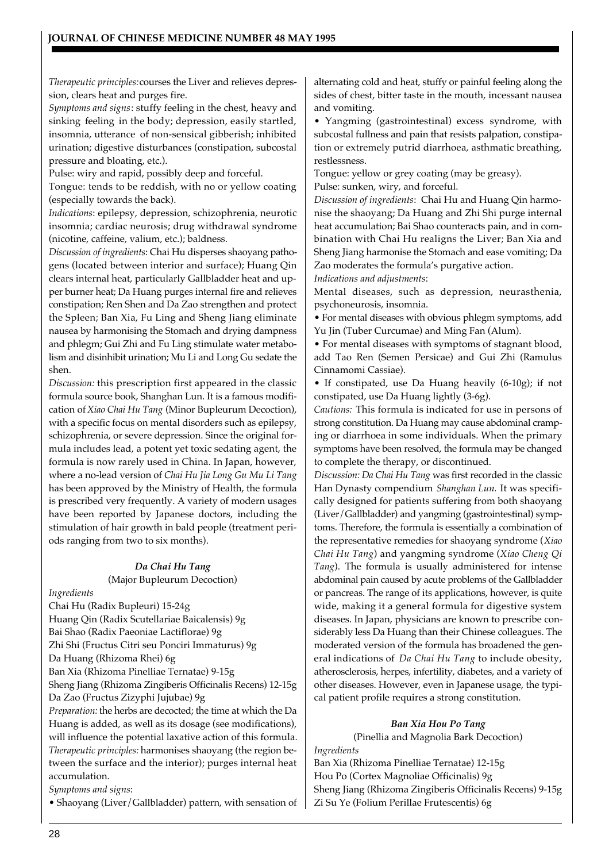*Therapeutic principles:* courses the Liver and relieves depression, clears heat and purges fire.

*Symptoms and signs*: stuffy feeling in the chest, heavy and sinking feeling in the body; depression, easily startled, insomnia, utterance of non-sensical gibberish; inhibited urination; digestive disturbances (constipation, subcostal pressure and bloating, etc.).

Pulse: wiry and rapid, possibly deep and forceful.

Tongue: tends to be reddish, with no or yellow coating (especially towards the back).

*Indications*: epilepsy, depression, schizophrenia, neurotic insomnia; cardiac neurosis; drug withdrawal syndrome (nicotine, caffeine, valium, etc.); baldness.

*Discussion of ingredients*: Chai Hu disperses shaoyang pathogens (located between interior and surface); Huang Qin clears internal heat, particularly Gallbladder heat and upper burner heat; Da Huang purges internal fire and relieves constipation; Ren Shen and Da Zao strengthen and protect the Spleen; Ban Xia, Fu Ling and Sheng Jiang eliminate nausea by harmonising the Stomach and drying dampness and phlegm; Gui Zhi and Fu Ling stimulate water metabolism and disinhibit urination; Mu Li and Long Gu sedate the shen.

*Discussion:* this prescription first appeared in the classic formula source book, Shanghan Lun. It is a famous modification of *Xiao Chai Hu Tang* (Minor Bupleurum Decoction), with a specific focus on mental disorders such as epilepsy, schizophrenia, or severe depression. Since the original formula includes lead, a potent yet toxic sedating agent, the formula is now rarely used in China. In Japan, however, where a no-lead version of *Chai Hu Jia Long Gu Mu Li Tang* has been approved by the Ministry of Health, the formula is prescribed very frequently. A variety of modern usages have been reported by Japanese doctors, including the stimulation of hair growth in bald people (treatment periods ranging from two to six months).

## *Da Chai Hu Tang* (Major Bupleurum Decoction)

*Ingredients*

Chai Hu (Radix Bupleuri) 15-24g Huang Qin (Radix Scutellariae Baicalensis) 9g Bai Shao (Radix Paeoniae Lactiflorae) 9g Zhi Shi (Fructus Citri seu Ponciri Immaturus) 9g Da Huang (Rhizoma Rhei) 6g Ban Xia (Rhizoma Pinelliae Ternatae) 9-15g Sheng Jiang (Rhizoma Zingiberis Officinalis Recens) 12-15g Da Zao (Fructus Zizyphi Jujubae) 9g *Preparation:* the herbs are decocted; the time at which the Da Huang is added, as well as its dosage (see modifications), will influence the potential laxative action of this formula. *Therapeutic principles:* harmonises shaoyang (the region between the surface and the interior); purges internal heat accumulation. *Symptoms and signs*:

• Shaoyang (Liver/Gallbladder) pattern, with sensation of

alternating cold and heat, stuffy or painful feeling along the sides of chest, bitter taste in the mouth, incessant nausea and vomiting.

• Yangming (gastrointestinal) excess syndrome, with subcostal fullness and pain that resists palpation, constipation or extremely putrid diarrhoea, asthmatic breathing, restlessness.

Tongue: yellow or grey coating (may be greasy).

Pulse: sunken, wiry, and forceful.

*Discussion of ingredients*: Chai Hu and Huang Qin harmonise the shaoyang; Da Huang and Zhi Shi purge internal heat accumulation; Bai Shao counteracts pain, and in combination with Chai Hu realigns the Liver; Ban Xia and Sheng Jiang harmonise the Stomach and ease vomiting; Da Zao moderates the formula's purgative action.

*Indications and adjustments*:

Mental diseases, such as depression, neurasthenia, psychoneurosis, insomnia.

• For mental diseases with obvious phlegm symptoms, add Yu Jin (Tuber Curcumae) and Ming Fan (Alum).

• For mental diseases with symptoms of stagnant blood, add Tao Ren (Semen Persicae) and Gui Zhi (Ramulus Cinnamomi Cassiae).

• If constipated, use Da Huang heavily (6-10g); if not constipated, use Da Huang lightly (3-6g).

*Cautions:* This formula is indicated for use in persons of strong constitution. Da Huang may cause abdominal cramping or diarrhoea in some individuals. When the primary symptoms have been resolved, the formula may be changed to complete the therapy, or discontinued.

*Discussion: Da Chai Hu Tang* was first recorded in the classic Han Dynasty compendium *Shanghan Lun.* It was specifically designed for patients suffering from both shaoyang (Liver/Gallbladder) and yangming (gastrointestinal) symptoms. Therefore, the formula is essentially a combination of the representative remedies for shaoyang syndrome (*Xiao Chai Hu Tang*) and yangming syndrome (*Xiao Cheng Qi Tang*). The formula is usually administered for intense abdominal pain caused by acute problems of the Gallbladder or pancreas. The range of its applications, however, is quite wide, making it a general formula for digestive system diseases. In Japan, physicians are known to prescribe considerably less Da Huang than their Chinese colleagues. The moderated version of the formula has broadened the general indications of *Da Chai Hu Tang* to include obesity, atherosclerosis, herpes, infertility, diabetes, and a variety of other diseases. However, even in Japanese usage, the typical patient profile requires a strong constitution.

## *Ban Xia Hou Po Tang*

(Pinellia and Magnolia Bark Decoction)

*Ingredients* Ban Xia (Rhizoma Pinelliae Ternatae) 12-15g Hou Po (Cortex Magnoliae Officinalis) 9g Sheng Jiang (Rhizoma Zingiberis Officinalis Recens) 9-15g Zi Su Ye (Folium Perillae Frutescentis) 6g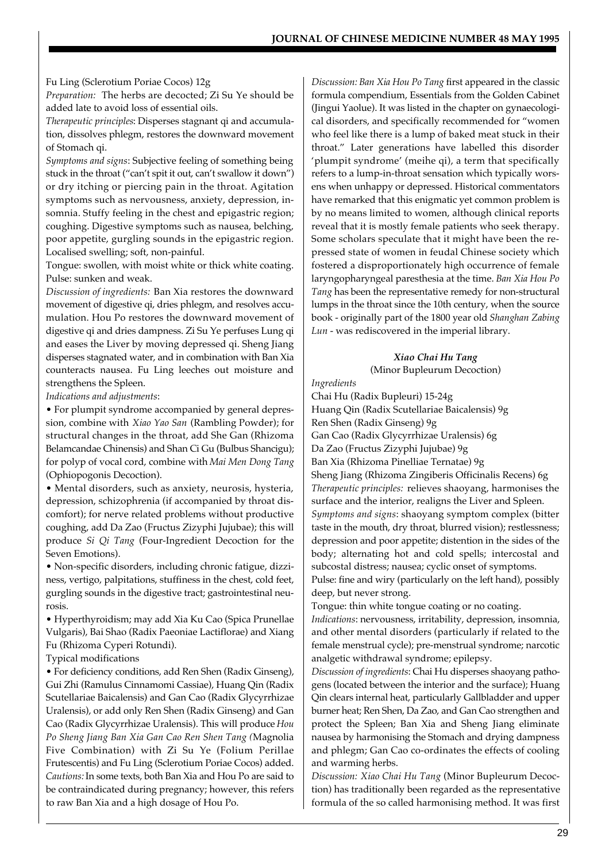Fu Ling (Sclerotium Poriae Cocos) 12g

*Preparation:* The herbs are decocted; Zi Su Ye should be added late to avoid loss of essential oils.

*Therapeutic principles*: Disperses stagnant qi and accumulation, dissolves phlegm, restores the downward movement of Stomach qi.

*Symptoms and signs*: Subjective feeling of something being stuck in the throat ("can't spit it out, can't swallow it down") or dry itching or piercing pain in the throat. Agitation symptoms such as nervousness, anxiety, depression, insomnia. Stuffy feeling in the chest and epigastric region; coughing. Digestive symptoms such as nausea, belching, poor appetite, gurgling sounds in the epigastric region. Localised swelling; soft, non-painful.

Tongue: swollen, with moist white or thick white coating. Pulse: sunken and weak.

*Discussion of ingredients:* Ban Xia restores the downward movement of digestive qi, dries phlegm, and resolves accumulation. Hou Po restores the downward movement of digestive qi and dries dampness. Zi Su Ye perfuses Lung qi and eases the Liver by moving depressed qi. Sheng Jiang disperses stagnated water, and in combination with Ban Xia counteracts nausea. Fu Ling leeches out moisture and strengthens the Spleen.

*Indications and adjustments*:

• For plumpit syndrome accompanied by general depression, combine with *Xiao Yao San* (Rambling Powder); for structural changes in the throat, add She Gan (Rhizoma Belamcandae Chinensis) and Shan Ci Gu (Bulbus Shancigu); for polyp of vocal cord, combine with *Mai Men Dong Tang* (Ophiopogonis Decoction).

• Mental disorders, such as anxiety, neurosis, hysteria, depression, schizophrenia (if accompanied by throat discomfort); for nerve related problems without productive coughing, add Da Zao (Fructus Zizyphi Jujubae); this will produce *Si Qi Tang* (Four-Ingredient Decoction for the Seven Emotions).

• Non-specific disorders, including chronic fatigue, dizziness, vertigo, palpitations, stuffiness in the chest, cold feet, gurgling sounds in the digestive tract; gastrointestinal neurosis.

• Hyperthyroidism; may add Xia Ku Cao (Spica Prunellae Vulgaris), Bai Shao (Radix Paeoniae Lactiflorae) and Xiang Fu (Rhizoma Cyperi Rotundi).

Typical modifications

• For deficiency conditions, add Ren Shen (Radix Ginseng), Gui Zhi (Ramulus Cinnamomi Cassiae), Huang Qin (Radix Scutellariae Baicalensis) and Gan Cao (Radix Glycyrrhizae Uralensis), or add only Ren Shen (Radix Ginseng) and Gan Cao (Radix Glycyrrhizae Uralensis). This will produce *Hou Po Sheng Jiang Ban Xia Gan Cao Ren Shen Tang (*Magnolia Five Combination) with Zi Su Ye (Folium Perillae Frutescentis) and Fu Ling (Sclerotium Poriae Cocos) added. *Cautions:* In some texts, both Ban Xia and Hou Po are said to be contraindicated during pregnancy; however, this refers to raw Ban Xia and a high dosage of Hou Po.

*Discussion: Ban Xia Hou Po Tang* first appeared in the classic formula compendium, Essentials from the Golden Cabinet (Jingui Yaolue). It was listed in the chapter on gynaecological disorders, and specifically recommended for "women who feel like there is a lump of baked meat stuck in their throat." Later generations have labelled this disorder 'plumpit syndrome' (meihe qi), a term that specifically refers to a lump-in-throat sensation which typically worsens when unhappy or depressed. Historical commentators have remarked that this enigmatic yet common problem is by no means limited to women, although clinical reports reveal that it is mostly female patients who seek therapy. Some scholars speculate that it might have been the repressed state of women in feudal Chinese society which fostered a disproportionately high occurrence of female laryngopharyngeal paresthesia at the time. *Ban Xia Hou Po Tang* has been the representative remedy for non-structural lumps in the throat since the 10th century, when the source book - originally part of the 1800 year old *Shanghan Zabing Lun* - was rediscovered in the imperial library.

# *Xiao Chai Hu Tang*

(Minor Bupleurum Decoction)

*Ingredients*

Chai Hu (Radix Bupleuri) 15-24g Huang Qin (Radix Scutellariae Baicalensis) 9g Ren Shen (Radix Ginseng) 9g Gan Cao (Radix Glycyrrhizae Uralensis) 6g Da Zao (Fructus Zizyphi Jujubae) 9g Ban Xia (Rhizoma Pinelliae Ternatae) 9g Sheng Jiang (Rhizoma Zingiberis Officinalis Recens) 6g *Therapeutic principles:* relieves shaoyang, harmonises the surface and the interior, realigns the Liver and Spleen. *Symptoms and signs*: shaoyang symptom complex (bitter taste in the mouth, dry throat, blurred vision); restlessness; depression and poor appetite; distention in the sides of the body; alternating hot and cold spells; intercostal and subcostal distress; nausea; cyclic onset of symptoms. Pulse: fine and wiry (particularly on the left hand), possibly deep, but never strong.

Tongue: thin white tongue coating or no coating. *Indications*: nervousness, irritability, depression, insomnia, and other mental disorders (particularly if related to the female menstrual cycle); pre-menstrual syndrome; narcotic analgetic withdrawal syndrome; epilepsy.

*Discussion of ingredients*: Chai Hu disperses shaoyang pathogens (located between the interior and the surface); Huang Qin clears internal heat, particularly Gallbladder and upper burner heat; Ren Shen, Da Zao, and Gan Cao strengthen and protect the Spleen; Ban Xia and Sheng Jiang eliminate nausea by harmonising the Stomach and drying dampness and phlegm; Gan Cao co-ordinates the effects of cooling and warming herbs.

*Discussion: Xiao Chai Hu Tang* (Minor Bupleurum Decoction) has traditionally been regarded as the representative formula of the so called harmonising method. It was first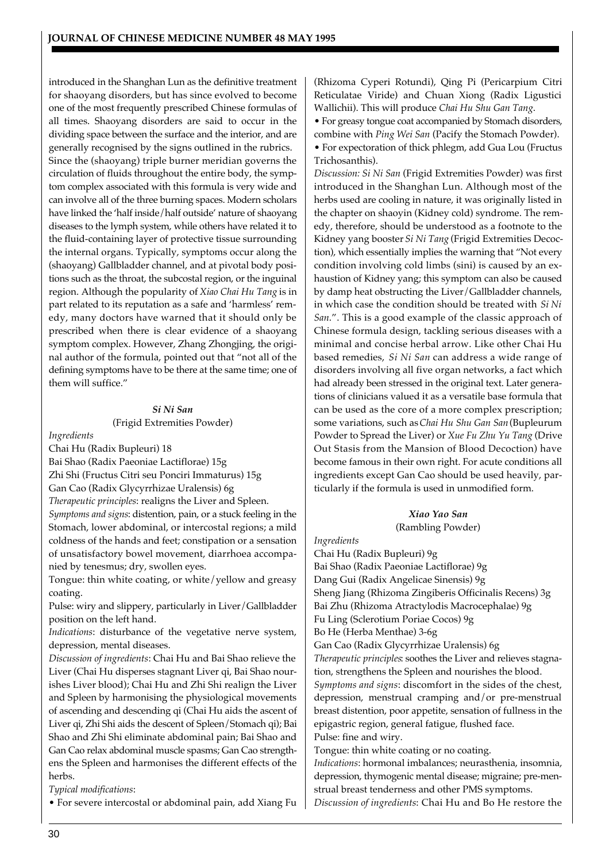introduced in the Shanghan Lun as the definitive treatment for shaoyang disorders, but has since evolved to become one of the most frequently prescribed Chinese formulas of all times. Shaoyang disorders are said to occur in the dividing space between the surface and the interior, and are generally recognised by the signs outlined in the rubrics. Since the (shaoyang) triple burner meridian governs the circulation of fluids throughout the entire body, the symptom complex associated with this formula is very wide and can involve all of the three burning spaces. Modern scholars have linked the 'half inside/half outside' nature of shaoyang diseases to the lymph system, while others have related it to the fluid-containing layer of protective tissue surrounding the internal organs. Typically, symptoms occur along the (shaoyang) Gallbladder channel, and at pivotal body positions such as the throat, the subcostal region, or the inguinal region. Although the popularity of *Xiao Chai Hu Tang* is in part related to its reputation as a safe and 'harmless' remedy, many doctors have warned that it should only be prescribed when there is clear evidence of a shaoyang symptom complex. However, Zhang Zhongjing, the original author of the formula, pointed out that "not all of the defining symptoms have to be there at the same time; one of them will suffice."

#### *Si Ni San*

(Frigid Extremities Powder)

*Ingredients*

Chai Hu (Radix Bupleuri) 18 Bai Shao (Radix Paeoniae Lactiflorae) 15g Zhi Shi (Fructus Citri seu Ponciri Immaturus) 15g Gan Cao (Radix Glycyrrhizae Uralensis) 6g *Therapeutic principles*: realigns the Liver and Spleen. *Symptoms and signs*: distention, pain, or a stuck feeling in the Stomach, lower abdominal, or intercostal regions; a mild

coldness of the hands and feet; constipation or a sensation of unsatisfactory bowel movement, diarrhoea accompanied by tenesmus; dry, swollen eyes.

Tongue: thin white coating, or white/yellow and greasy coating.

Pulse: wiry and slippery, particularly in Liver/Gallbladder position on the left hand.

*Indications*: disturbance of the vegetative nerve system, depression, mental diseases.

*Discussion of ingredients*: Chai Hu and Bai Shao relieve the Liver (Chai Hu disperses stagnant Liver qi, Bai Shao nourishes Liver blood); Chai Hu and Zhi Shi realign the Liver and Spleen by harmonising the physiological movements of ascending and descending qi (Chai Hu aids the ascent of Liver qi, Zhi Shi aids the descent of Spleen/Stomach qi); Bai Shao and Zhi Shi eliminate abdominal pain; Bai Shao and Gan Cao relax abdominal muscle spasms; Gan Cao strengthens the Spleen and harmonises the different effects of the herbs.

*Typical modifications*:

• For severe intercostal or abdominal pain, add Xiang Fu

(Rhizoma Cyperi Rotundi), Qing Pi (Pericarpium Citri Reticulatae Viride) and Chuan Xiong (Radix Ligustici Wallichii). This will produce *Chai Hu Shu Gan Tang*.

• For greasy tongue coat accompanied by Stomach disorders, combine with *Ping Wei San* (Pacify the Stomach Powder).

• For expectoration of thick phlegm, add Gua Lou (Fructus Trichosanthis).

*Discussion: Si Ni San* (Frigid Extremities Powder) was first introduced in the Shanghan Lun. Although most of the herbs used are cooling in nature, it was originally listed in the chapter on shaoyin (Kidney cold) syndrome. The remedy, therefore, should be understood as a footnote to the Kidney yang booster *Si Ni Tang* (Frigid Extremities Decoction), which essentially implies the warning that "Not every condition involving cold limbs (sini) is caused by an exhaustion of Kidney yang; this symptom can also be caused by damp heat obstructing the Liver/Gallbladder channels, in which case the condition should be treated with *Si Ni San*.". This is a good example of the classic approach of Chinese formula design, tackling serious diseases with a minimal and concise herbal arrow. Like other Chai Hu based remedies, *Si Ni San* can address a wide range of disorders involving all five organ networks, a fact which had already been stressed in the original text. Later generations of clinicians valued it as a versatile base formula that can be used as the core of a more complex prescription; some variations, such as *Chai Hu Shu Gan San* (Bupleurum Powder to Spread the Liver) or *Xue Fu Zhu Yu Tang* (Drive Out Stasis from the Mansion of Blood Decoction) have become famous in their own right. For acute conditions all ingredients except Gan Cao should be used heavily, particularly if the formula is used in unmodified form.

#### *Xiao Yao San* (Rambling Powder)

*Ingredients*

Chai Hu (Radix Bupleuri) 9g Bai Shao (Radix Paeoniae Lactiflorae) 9g Dang Gui (Radix Angelicae Sinensis) 9g Sheng Jiang (Rhizoma Zingiberis Officinalis Recens) 3g Bai Zhu (Rhizoma Atractylodis Macrocephalae) 9g Fu Ling (Sclerotium Poriae Cocos) 9g Bo He (Herba Menthae) 3-6g Gan Cao (Radix Glycyrrhizae Uralensis) 6g *Therapeutic principles*: soothes the Liver and relieves stagnation, strengthens the Spleen and nourishes the blood. *Symptoms and signs*: discomfort in the sides of the chest, depression, menstrual cramping and/or pre-menstrual breast distention, poor appetite, sensation of fullness in the epigastric region, general fatigue, flushed face.

Pulse: fine and wiry.

Tongue: thin white coating or no coating.

*Indications*: hormonal imbalances; neurasthenia, insomnia, depression, thymogenic mental disease; migraine; pre-menstrual breast tenderness and other PMS symptoms. *Discussion of ingredients*: Chai Hu and Bo He restore the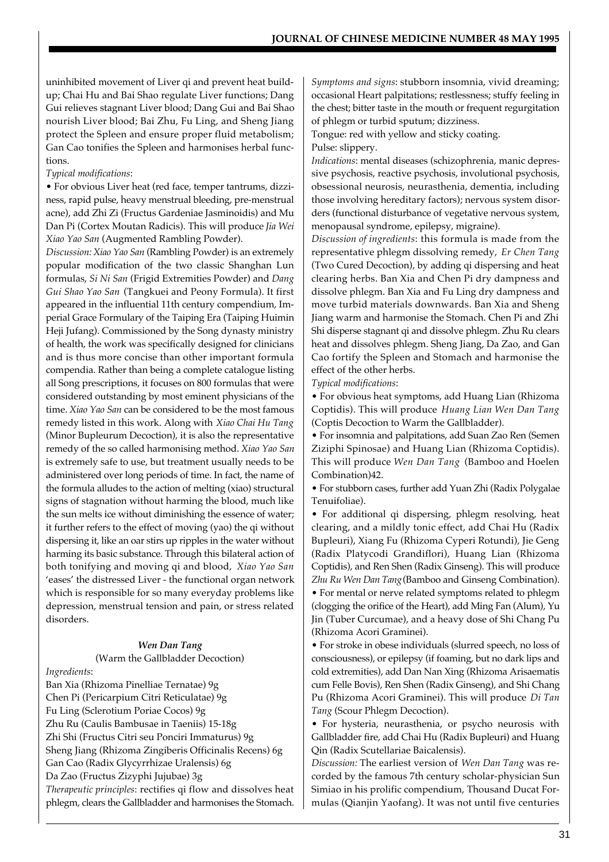uninhibited movement of Liver qi and prevent heat buildup; Chai Hu and Bai Shao regulate Liver functions; Dang Gui relieves stagnant Liver blood; Dang Gui and Bai Shao nourish Liver blood; Bai Zhu, Fu Ling, and Sheng Jiang protect the Spleen and ensure proper fluid metabolism; Gan Cao tonifies the Spleen and harmonises herbal functions.

## *Typical modifications*:

• For obvious Liver heat (red face, temper tantrums, dizziness, rapid pulse, heavy menstrual bleeding, pre-menstrual acne), add Zhi Zi (Fructus Gardeniae Jasminoidis) and Mu Dan Pi (Cortex Moutan Radicis). This will produce *Jia Wei Xiao Yao San* (Augmented Rambling Powder).

*Discussion: Xiao Yao San* (Rambling Powder) is an extremely popular modification of the two classic Shanghan Lun formulas, *Si Ni San* (Frigid Extremities Powder) and *Dang Gui Shao Yao San* (Tangkuei and Peony Formula). It first appeared in the influential 11th century compendium, Imperial Grace Formulary of the Taiping Era (Taiping Huimin Heji Jufang). Commissioned by the Song dynasty ministry of health, the work was specifically designed for clinicians and is thus more concise than other important formula compendia. Rather than being a complete catalogue listing all Song prescriptions, it focuses on 800 formulas that were considered outstanding by most eminent physicians of the time. *Xiao Yao San* can be considered to be the most famous remedy listed in this work. Along with *Xiao Chai Hu Tang* (Minor Bupleurum Decoction), it is also the representative remedy of the so called harmonising method. *Xiao Yao San* is extremely safe to use, but treatment usually needs to be administered over long periods of time. In fact, the name of the formula alludes to the action of melting (xiao) structural signs of stagnation without harming the blood, much like the sun melts ice without diminishing the essence of water; it further refers to the effect of moving (yao) the qi without dispersing it, like an oar stirs up ripples in the water without harming its basic substance. Through this bilateral action of both tonifying and moving qi and blood, *Xiao Yao San* 'eases' the distressed Liver - the functional organ network which is responsible for so many everyday problems like depression, menstrual tension and pain, or stress related disorders.

## *Wen Dan Tang*

(Warm the Gallbladder Decoction)

*Ingredients*:

Ban Xia (Rhizoma Pinelliae Ternatae) 9g Chen Pi (Pericarpium Citri Reticulatae) 9g Fu Ling (Sclerotium Poriae Cocos) 9g Zhu Ru (Caulis Bambusae in Taeniis) 15-18g Zhi Shi (Fructus Citri seu Ponciri Immaturus) 9g Sheng Jiang (Rhizoma Zingiberis Officinalis Recens) 6g Gan Cao (Radix Glycyrrhizae Uralensis) 6g Da Zao (Fructus Zizyphi Jujubae) 3g *Therapeutic principles*: rectifies qi flow and dissolves heat phlegm, clears the Gallbladder and harmonises the Stomach.

*Symptoms and signs*: stubborn insomnia, vivid dreaming; occasional Heart palpitations; restlessness; stuffy feeling in the chest; bitter taste in the mouth or frequent regurgitation of phlegm or turbid sputum; dizziness.

Tongue: red with yellow and sticky coating. Pulse: slippery.

*Indications*: mental diseases (schizophrenia, manic depressive psychosis, reactive psychosis, involutional psychosis, obsessional neurosis, neurasthenia, dementia, including those involving hereditary factors); nervous system disorders (functional disturbance of vegetative nervous system, menopausal syndrome, epilepsy, migraine).

*Discussion of ingredients*: this formula is made from the representative phlegm dissolving remedy, *Er Chen Tang* (Two Cured Decoction), by adding qi dispersing and heat clearing herbs. Ban Xia and Chen Pi dry dampness and dissolve phlegm. Ban Xia and Fu Ling dry dampness and move turbid materials downwards. Ban Xia and Sheng Jiang warm and harmonise the Stomach. Chen Pi and Zhi Shi disperse stagnant qi and dissolve phlegm. Zhu Ru clears heat and dissolves phlegm. Sheng Jiang, Da Zao, and Gan Cao fortify the Spleen and Stomach and harmonise the effect of the other herbs.

*Typical modifications*:

• For obvious heat symptoms, add Huang Lian (Rhizoma Coptidis). This will produce *Huang Lian Wen Dan Tang* (Coptis Decoction to Warm the Gallbladder).

• For insomnia and palpitations, add Suan Zao Ren (Semen Ziziphi Spinosae) and Huang Lian (Rhizoma Coptidis). This will produce *Wen Dan Tang* (Bamboo and Hoelen Combination)42.

• For stubborn cases, further add Yuan Zhi (Radix Polygalae Tenuifoliae).

• For additional qi dispersing, phlegm resolving, heat clearing, and a mildly tonic effect, add Chai Hu (Radix Bupleuri), Xiang Fu (Rhizoma Cyperi Rotundi), Jie Geng (Radix Platycodi Grandiflori), Huang Lian (Rhizoma Coptidis), and Ren Shen (Radix Ginseng). This will produce *Zhu Ru Wen Dan Tang* (Bamboo and Ginseng Combination). • For mental or nerve related symptoms related to phlegm (clogging the orifice of the Heart), add Ming Fan (Alum), Yu Jin (Tuber Curcumae), and a heavy dose of Shi Chang Pu (Rhizoma Acori Graminei).

• For stroke in obese individuals (slurred speech, no loss of consciousness), or epilepsy (if foaming, but no dark lips and cold extremities), add Dan Nan Xing (Rhizoma Arisaematis cum Felle Bovis), Ren Shen (Radix Ginseng), and Shi Chang Pu (Rhizoma Acori Graminei). This will produce *Di Tan Tang* (Scour Phlegm Decoction).

• For hysteria, neurasthenia, or psycho neurosis with Gallbladder fire, add Chai Hu (Radix Bupleuri) and Huang Qin (Radix Scutellariae Baicalensis).

*Discussion:* The earliest version of *Wen Dan Tang* was recorded by the famous 7th century scholar-physician Sun Simiao in his prolific compendium, Thousand Ducat Formulas (Qianjin Yaofang). It was not until five centuries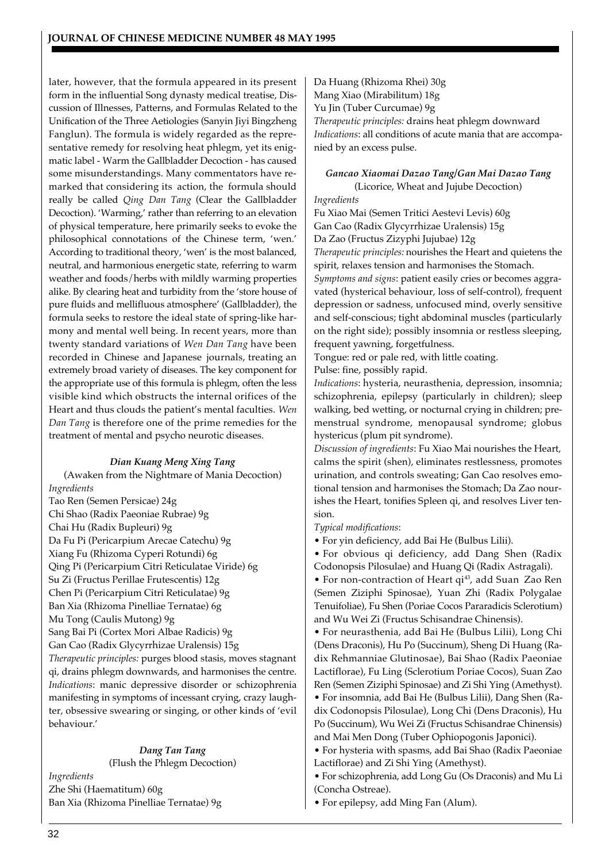later, however, that the formula appeared in its present form in the influential Song dynasty medical treatise, Discussion of Illnesses, Patterns, and Formulas Related to the Unification of the Three Aetiologies (Sanyin Jiyi Bingzheng Fanglun). The formula is widely regarded as the representative remedy for resolving heat phlegm, yet its enigmatic label - Warm the Gallbladder Decoction - has caused some misunderstandings. Many commentators have remarked that considering its action, the formula should really be called *Qing Dan Tang* (Clear the Gallbladder Decoction). 'Warming,' rather than referring to an elevation of physical temperature, here primarily seeks to evoke the philosophical connotations of the Chinese term, 'wen.' According to traditional theory, 'wen' is the most balanced, neutral, and harmonious energetic state, referring to warm weather and foods/herbs with mildly warming properties alike. By clearing heat and turbidity from the 'store house of pure fluids and mellifluous atmosphere' (Gallbladder), the formula seeks to restore the ideal state of spring-like harmony and mental well being. In recent years, more than twenty standard variations of *Wen Dan Tang* have been recorded in Chinese and Japanese journals, treating an extremely broad variety of diseases. The key component for the appropriate use of this formula is phlegm, often the less visible kind which obstructs the internal orifices of the Heart and thus clouds the patient's mental faculties. *Wen Dan Tang* is therefore one of the prime remedies for the treatment of mental and psycho neurotic diseases.

## *Dian Kuang Meng Xing Tang*

(Awaken from the Nightmare of Mania Decoction) *Ingredients*

Tao Ren (Semen Persicae) 24g Chi Shao (Radix Paeoniae Rubrae) 9g Chai Hu (Radix Bupleuri) 9g Da Fu Pi (Pericarpium Arecae Catechu) 9g Xiang Fu (Rhizoma Cyperi Rotundi) 6g Qing Pi (Pericarpium Citri Reticulatae Viride) 6g Su Zi (Fructus Perillae Frutescentis) 12g Chen Pi (Pericarpium Citri Reticulatae) 9g Ban Xia (Rhizoma Pinelliae Ternatae) 6g Mu Tong (Caulis Mutong) 9g Sang Bai Pi (Cortex Mori Albae Radicis) 9g Gan Cao (Radix Glycyrrhizae Uralensis) 15g *Therapeutic principles:* purges blood stasis, moves stagnant qi, drains phlegm downwards, and harmonises the centre. *Indications*: manic depressive disorder or schizophrenia manifesting in symptoms of incessant crying, crazy laugh-

ter, obsessive swearing or singing, or other kinds of 'evil behaviour.' *Dang Tan Tang*

(Flush the Phlegm Decoction) *Ingredients* Zhe Shi (Haematitum) 60g Ban Xia (Rhizoma Pinelliae Ternatae) 9g

Da Huang (Rhizoma Rhei) 30g Mang Xiao (Mirabilitum) 18g Yu Jin (Tuber Curcumae) 9g *Therapeutic principles:* drains heat phlegm downward *Indications*: all conditions of acute mania that are accompanied by an excess pulse.

## *Gancao Xiaomai Dazao Tang/Gan Mai Dazao Tang*

(Licorice, Wheat and Jujube Decoction) *Ingredients*

Fu Xiao Mai (Semen Tritici Aestevi Levis) 60g Gan Cao (Radix Glycyrrhizae Uralensis) 15g Da Zao (Fructus Zizyphi Jujubae) 12g *Therapeutic principles:* nourishes the Heart and quietens the spirit, relaxes tension and harmonises the Stomach. *Symptoms and signs*: patient easily cries or becomes aggravated (hysterical behaviour, loss of self-control), frequent depression or sadness, unfocused mind, overly sensitive and self-conscious; tight abdominal muscles (particularly on the right side); possibly insomnia or restless sleeping,

frequent yawning, forgetfulness. Tongue: red or pale red, with little coating.

Pulse: fine, possibly rapid.

*Indications*: hysteria, neurasthenia, depression, insomnia; schizophrenia, epilepsy (particularly in children); sleep walking, bed wetting, or nocturnal crying in children; premenstrual syndrome, menopausal syndrome; globus hystericus (plum pit syndrome).

*Discussion of ingredients*: Fu Xiao Mai nourishes the Heart, calms the spirit (shen), eliminates restlessness, promotes urination, and controls sweating; Gan Cao resolves emotional tension and harmonises the Stomach; Da Zao nourishes the Heart, tonifies Spleen qi, and resolves Liver tension.

#### *Typical modifications*:

• For yin deficiency, add Bai He (Bulbus Lilii).

• For obvious qi deficiency, add Dang Shen (Radix Codonopsis Pilosulae) and Huang Qi (Radix Astragali).

• For non-contraction of Heart qi<sup>43</sup>, add Suan Zao Ren (Semen Ziziphi Spinosae), Yuan Zhi (Radix Polygalae Tenuifoliae), Fu Shen (Poriae Cocos Pararadicis Sclerotium) and Wu Wei Zi (Fructus Schisandrae Chinensis).

• For neurasthenia, add Bai He (Bulbus Lilii), Long Chi (Dens Draconis), Hu Po (Succinum), Sheng Di Huang (Radix Rehmanniae Glutinosae), Bai Shao (Radix Paeoniae Lactiflorae), Fu Ling (Sclerotium Poriae Cocos), Suan Zao Ren (Semen Ziziphi Spinosae) and Zi Shi Ying (Amethyst). • For insomnia, add Bai He (Bulbus Lilii), Dang Shen (Radix Codonopsis Pilosulae), Long Chi (Dens Draconis), Hu Po (Succinum), Wu Wei Zi (Fructus Schisandrae Chinensis) and Mai Men Dong (Tuber Ophiopogonis Japonici).

• For hysteria with spasms, add Bai Shao (Radix Paeoniae Lactiflorae) and Zi Shi Ying (Amethyst).

• For schizophrenia, add Long Gu (Os Draconis) and Mu Li (Concha Ostreae).

• For epilepsy, add Ming Fan (Alum).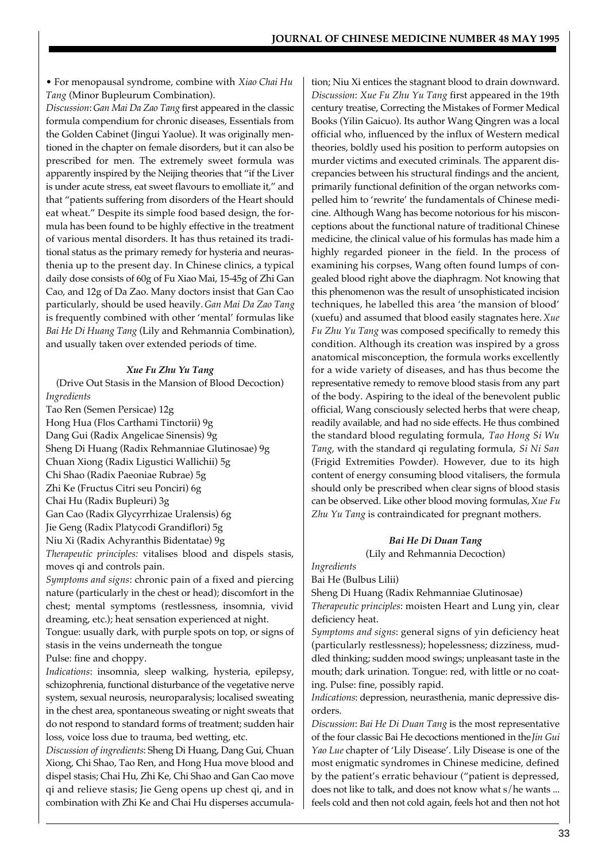• For menopausal syndrome, combine with *Xiao Chai Hu Tang* (Minor Bupleurum Combination).

*Discussion*: *Gan Mai Da Zao Tang* first appeared in the classic formula compendium for chronic diseases, Essentials from the Golden Cabinet (Jingui Yaolue). It was originally mentioned in the chapter on female disorders, but it can also be prescribed for men. The extremely sweet formula was apparently inspired by the Neijing theories that "if the Liver is under acute stress, eat sweet flavours to emolliate it," and that "patients suffering from disorders of the Heart should eat wheat." Despite its simple food based design, the formula has been found to be highly effective in the treatment of various mental disorders. It has thus retained its traditional status as the primary remedy for hysteria and neurasthenia up to the present day. In Chinese clinics, a typical daily dose consists of 60g of Fu Xiao Mai, 15-45g of Zhi Gan Cao, and 12g of Da Zao. Many doctors insist that Gan Cao particularly, should be used heavily. *Gan Mai Da Zao Tang* is frequently combined with other 'mental' formulas like *Bai He Di Huang Tang* (Lily and Rehmannia Combination), and usually taken over extended periods of time.

#### *Xue Fu Zhu Yu Tang*

(Drive Out Stasis in the Mansion of Blood Decoction) *Ingredients*

Tao Ren (Semen Persicae) 12g Hong Hua (Flos Carthami Tinctorii) 9g Dang Gui (Radix Angelicae Sinensis) 9g Sheng Di Huang (Radix Rehmanniae Glutinosae) 9g Chuan Xiong (Radix Ligustici Wallichii) 5g Chi Shao (Radix Paeoniae Rubrae) 5g Zhi Ke (Fructus Citri seu Ponciri) 6g Chai Hu (Radix Bupleuri) 3g Gan Cao (Radix Glycyrrhizae Uralensis) 6g Jie Geng (Radix Platycodi Grandiflori) 5g Niu Xi (Radix Achyranthis Bidentatae) 9g *Therapeutic principles:* vitalises blood and dispels stasis, moves qi and controls pain.

*Symptoms and signs*: chronic pain of a fixed and piercing nature (particularly in the chest or head); discomfort in the chest; mental symptoms (restlessness, insomnia, vivid dreaming, etc.); heat sensation experienced at night.

Tongue: usually dark, with purple spots on top, or signs of stasis in the veins underneath the tongue

Pulse: fine and choppy.

*Indications*: insomnia, sleep walking, hysteria, epilepsy, schizophrenia, functional disturbance of the vegetative nerve system, sexual neurosis, neuroparalysis; localised sweating in the chest area, spontaneous sweating or night sweats that do not respond to standard forms of treatment; sudden hair loss, voice loss due to trauma, bed wetting, etc.

*Discussion of ingredients*: Sheng Di Huang, Dang Gui, Chuan Xiong, Chi Shao, Tao Ren, and Hong Hua move blood and dispel stasis; Chai Hu, Zhi Ke, Chi Shao and Gan Cao move qi and relieve stasis; Jie Geng opens up chest qi, and in combination with Zhi Ke and Chai Hu disperses accumulation; Niu Xi entices the stagnant blood to drain downward. *Discussion*: *Xue Fu Zhu Yu Tang* first appeared in the 19th century treatise, Correcting the Mistakes of Former Medical Books (Yilin Gaicuo). Its author Wang Qingren was a local official who, influenced by the influx of Western medical theories, boldly used his position to perform autopsies on murder victims and executed criminals. The apparent discrepancies between his structural findings and the ancient, primarily functional definition of the organ networks compelled him to 'rewrite' the fundamentals of Chinese medicine. Although Wang has become notorious for his misconceptions about the functional nature of traditional Chinese medicine, the clinical value of his formulas has made him a highly regarded pioneer in the field. In the process of examining his corpses, Wang often found lumps of congealed blood right above the diaphragm. Not knowing that this phenomenon was the result of unsophisticated incision techniques, he labelled this area 'the mansion of blood' (xuefu) and assumed that blood easily stagnates here. *Xue Fu Zhu Yu Tang* was composed specifically to remedy this condition. Although its creation was inspired by a gross anatomical misconception, the formula works excellently for a wide variety of diseases, and has thus become the representative remedy to remove blood stasis from any part of the body. Aspiring to the ideal of the benevolent public official, Wang consciously selected herbs that were cheap, readily available, and had no side effects. He thus combined the standard blood regulating formula, *Tao Hong Si Wu Tang*, with the standard qi regulating formula, *Si Ni San* (Frigid Extremities Powder). However, due to its high content of energy consuming blood vitalisers, the formula should only be prescribed when clear signs of blood stasis can be observed. Like other blood moving formulas, *Xue Fu Zhu Yu Tang* is contraindicated for pregnant mothers.

#### *Bai He Di Duan Tang*

(Lily and Rehmannia Decoction)

*Ingredients*

Bai He (Bulbus Lilii)

Sheng Di Huang (Radix Rehmanniae Glutinosae)

*Therapeutic principles*: moisten Heart and Lung yin, clear deficiency heat.

*Symptoms and signs*: general signs of yin deficiency heat (particularly restlessness); hopelessness; dizziness, muddled thinking; sudden mood swings; unpleasant taste in the mouth; dark urination. Tongue: red, with little or no coating. Pulse: fine, possibly rapid.

*Indications*: depression, neurasthenia, manic depressive disorders.

*Discussion*: *Bai He Di Duan Tang* is the most representative of the four classic Bai He decoctions mentioned in the *Jin Gui Yao Lue* chapter of 'Lily Disease'. Lily Disease is one of the most enigmatic syndromes in Chinese medicine, defined by the patient's erratic behaviour ("patient is depressed, does not like to talk, and does not know what s/he wants ... feels cold and then not cold again, feels hot and then not hot